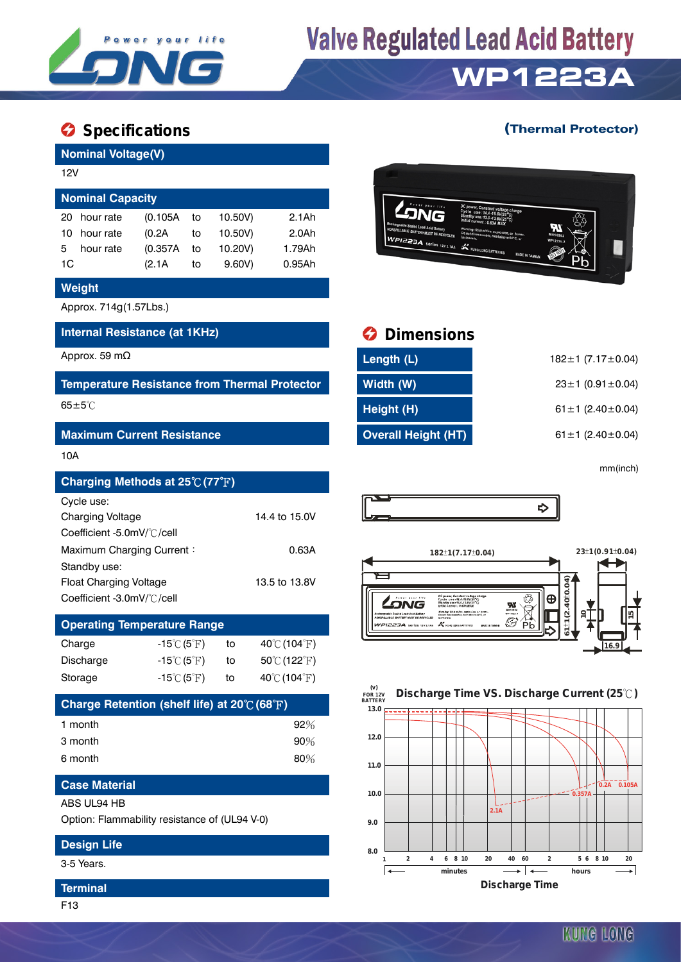

# **Valve Regulated Lead Acid Battery**

### **WP1223A**

### **Specifications C** Specifications **C** Specifications **C** Specifications **C** Specifications **C** Specifications **C** Specifications **C** Specifications **C** Specifications **C** Specifications **C** Specifications **C** Specificati

| <b>Nominal Voltage(V)</b> |          |    |         |                  |  |  |  |  |
|---------------------------|----------|----|---------|------------------|--|--|--|--|
| 12V                       |          |    |         |                  |  |  |  |  |
| <b>Nominal Capacity</b>   |          |    |         |                  |  |  |  |  |
| hour rate<br>20           | (0.105A  | to | 10.50V) | 2.1Ah            |  |  |  |  |
| hour rate<br>10.          | (0.2A    | to | 10.50V) | 2.0 <sub>h</sub> |  |  |  |  |
| hour rate<br>5            | (0.357A) | to | 10.20V) | 1.79Ah           |  |  |  |  |
| 1C                        | (2.1A    | to | 9.60V   | $0.95$ Ah        |  |  |  |  |

#### **Weight**

Approx. 714g(1.57Lbs.)

#### **Internal Resistance (at 1KHz) Dimensions**

#### **Maximum Current Resistance**

#### 10A

| Charging Methods at 25℃ (77°F) |               |
|--------------------------------|---------------|
| Cycle use:                     |               |
| <b>Charging Voltage</b>        | 14.4 to 15.0V |
| Coefficient -5.0mV/°C/cell     |               |
| Maximum Charging Current:      | 0.63A         |
| Standby use:                   |               |
| Float Charging Voltage         | 13.5 to 13.8V |
| Coefficient -3.0mV/°C/cell     |               |

| <b>Operating Temperature Range</b> |                                  |    |                                   |  |  |  |  |  |
|------------------------------------|----------------------------------|----|-----------------------------------|--|--|--|--|--|
| Charge                             | $-15^{\circ}$ C (5 $^{\circ}$ F) | to | $40^{\circ}$ C (104 $^{\circ}$ F) |  |  |  |  |  |
| Discharge                          | $-15^{\circ}$ C (5 $^{\circ}$ F) | to | 50℃ (122°F)                       |  |  |  |  |  |
| Storage                            | $-15^{\circ}$ C (5 $^{\circ}$ F) | to | $40^{\circ}$ C (104 $^{\circ}$ F) |  |  |  |  |  |

| Charge Retention (shelf life) at $20^{\circ}$ (68 $^{\circ}$ F) |        |
|-----------------------------------------------------------------|--------|
| 1 month                                                         | $92\%$ |
| 3 month                                                         | $90\%$ |
| 6 month                                                         | $80\%$ |

### **Case Material**

ABS UL94 HB

Option: Flammability resistance of (UL94 V-0)

#### **Design Life**

3-5 Years.

#### **Terminal**

F13



| Approx. 59 mΩ                                        | Length (L)          | 182 $\pm$ 1 (7.17 $\pm$ 0.04) |
|------------------------------------------------------|---------------------|-------------------------------|
| <b>Temperature Resistance from Thermal Protector</b> | Width (W)           | $23 \pm 1$ (0.91 $\pm$ 0.04)  |
| $65 \pm 5^{\circ}$ C                                 | Height (H)          | 61 ± 1 $(2.40 \pm 0.04)$      |
| <b>Maximum Current Resistance</b>                    | Overall Height (HT) | 61 ± 1 $(2.40 \pm 0.04)$      |

mm(inch)